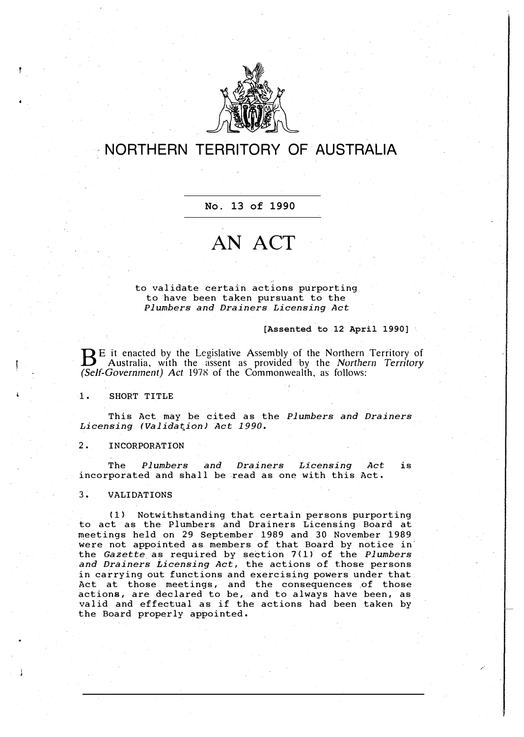

## **NORTHERN TERRITORY OF AUSTRALIA**

**No. 13 of 1990**

## **AN ACT**

to validate certain actions purporting to have been taken pursuant to the *Plumbers and Drainers Licensing Act* 

**[Assented to 12 April 1990]**

**BE** it enacted by the Legislative Assembly of the Northern Territory of Australia, with the assent as provided by the *Northern Territory*  $B<sup>E</sup>$  it enacted by the Legislative Assembly of the Northern Territory of *(Self-Government) Act* 1978 of the Commonwealth, as follows:

1, SHORT TITLE

This Act may be cited as the *Plumbers and Drainers Licensing (Validation) Act 1990.* 

2, INCORPORATION

The *Plumbers and Drainers Licensing Act* is incorporated and shall be read as one with this Act.

3, VALIDATIONS

(1) Notwithstanding that certain persons purporting to act as the Plumbers and Drainers Licensing Board at meetings held on 29 September 1989 and 30 November 1989 were not appointed as members of that Board by notice in the *Gazette* as required by section 7(1) of the *Plumbers and Drainers Licensing Act,* the actions of those persons in carrying out functions and exercising powers under that Act at those meetings, and the consequences of those actions, are declared to be, and to always have been, as valid and effectual as if the actions had been taken by the Board properly appointed.